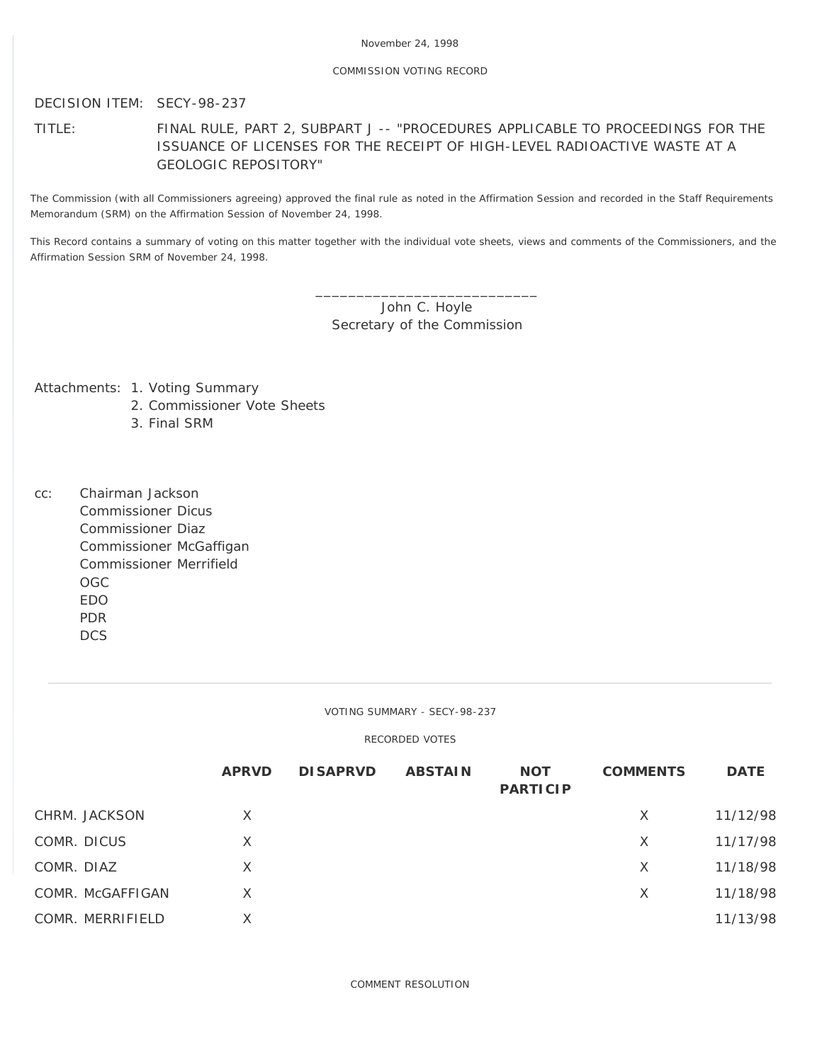# COMMISSION VOTING RECORD

DECISION ITEM: SECY-98-237

TITLE: FINAL RULE, PART 2, SUBPART J -- "PROCEDURES APPLICABLE TO PROCEEDINGS FOR THE ISSUANCE OF LICENSES FOR THE RECEIPT OF HIGH-LEVEL RADIOACTIVE WASTE AT A GEOLOGIC REPOSITORY"

The Commission (with all Commissioners agreeing) approved the final rule as noted in the Affirmation Session and recorded in the Staff Requirements Memorandum (SRM) on the Affirmation Session of November 24, 1998.

This Record contains a summary of voting on this matter together with the individual vote sheets, views and comments of the Commissioners, and the Affirmation Session SRM of November 24, 1998.

> \_\_\_\_\_\_\_\_\_\_\_\_\_\_\_\_\_\_\_\_\_\_\_\_\_\_\_ John C. Hoyle Secretary of the Commission

Attachments: 1. Voting Summary

- 2. Commissioner Vote Sheets
- 3. Final SRM
- cc: Chairman Jackson Commissioner Dicus Commissioner Diaz Commissioner McGaffigan Commissioner Merrifield OGC EDO PDR DCS

VOTING SUMMARY - SECY-98-237

RECORDED VOTES

|                  | <b>APRVD</b> | <b>DISAPRVD</b> | <b>ABSTAIN</b> | <b>NOT</b><br><b>PARTICIP</b> | <b>COMMENTS</b> | <b>DATE</b> |
|------------------|--------------|-----------------|----------------|-------------------------------|-----------------|-------------|
| CHRM. JACKSON    | X            |                 |                |                               | X               | 11/12/98    |
| COMR. DICUS      | $\times$     |                 |                |                               | X               | 11/17/98    |
| COMR. DIAZ       | $\times$     |                 |                |                               | X               | 11/18/98    |
| COMR. McGAFFIGAN | X            |                 |                |                               | X               | 11/18/98    |
| COMR. MERRIFIELD | X            |                 |                |                               |                 | 11/13/98    |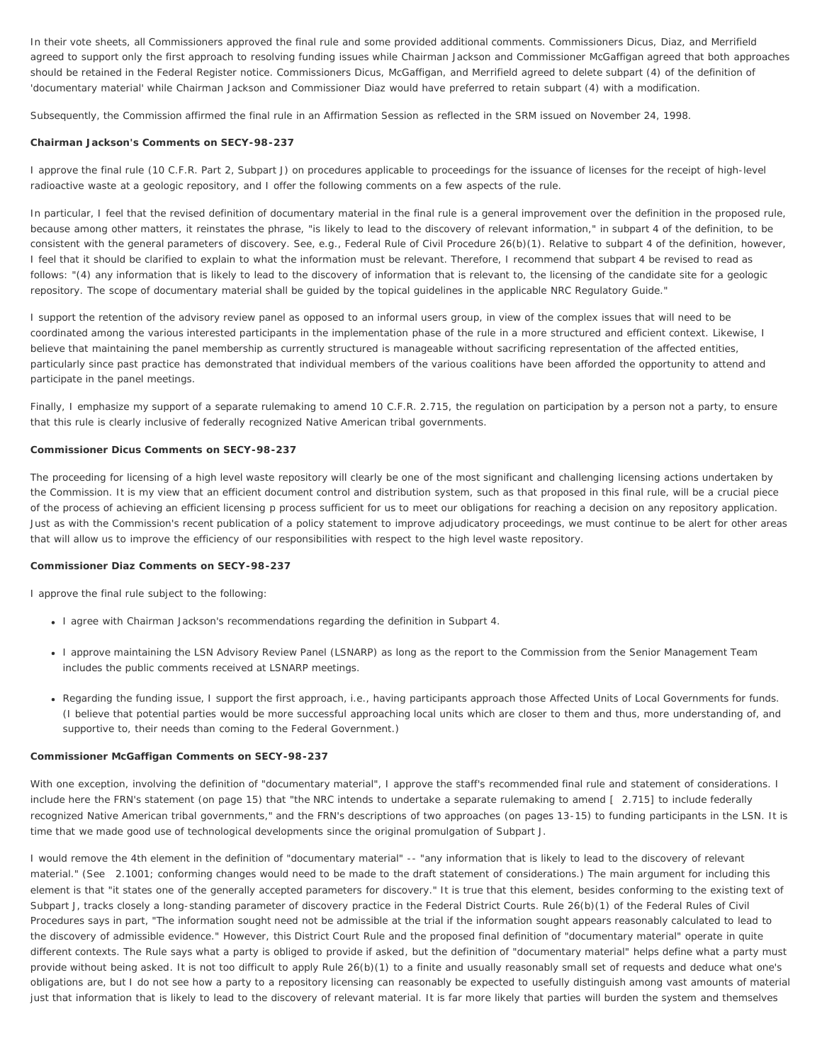In their vote sheets, all Commissioners approved the final rule and some provided additional comments. Commissioners Dicus, Diaz, and Merrifield agreed to support only the first approach to resolving funding issues while Chairman Jackson and Commissioner McGaffigan agreed that both approaches should be retained in the Federal Register notice. Commissioners Dicus, McGaffigan, and Merrifield agreed to delete subpart (4) of the definition of 'documentary material' while Chairman Jackson and Commissioner Diaz would have preferred to retain subpart (4) with a modification.

Subsequently, the Commission affirmed the final rule in an Affirmation Session as reflected in the SRM issued on November 24, 1998.

## **Chairman Jackson's Comments on SECY-98-237**

I approve the final rule (10 C.F.R. Part 2, Subpart J) on procedures applicable to proceedings for the issuance of licenses for the receipt of high-level radioactive waste at a geologic repository, and I offer the following comments on a few aspects of the rule.

In particular, I feel that the revised definition of documentary material in the final rule is a general improvement over the definition in the proposed rule, because among other matters, it reinstates the phrase, "is likely to lead to the discovery of relevant information," in subpart 4 of the definition, to be consistent with the general parameters of discovery. See, e.g., Federal Rule of Civil Procedure 26(b)(1). Relative to subpart 4 of the definition, however, I feel that it should be clarified to explain to what the information must be relevant. Therefore, I recommend that subpart 4 be revised to read as follows: "(4) any information that is likely to lead to the discovery of information that is relevant to, the licensing of the candidate site for a geologic repository. The scope of documentary material shall be guided by the topical guidelines in the applicable NRC Regulatory Guide."

I support the retention of the advisory review panel as opposed to an informal users group, in view of the complex issues that will need to be coordinated among the various interested participants in the implementation phase of the rule in a more structured and efficient context. Likewise, I believe that maintaining the panel membership as currently structured is manageable without sacrificing representation of the affected entities, particularly since past practice has demonstrated that individual members of the various coalitions have been afforded the opportunity to attend and participate in the panel meetings.

Finally, I emphasize my support of a separate rulemaking to amend 10 C.F.R. 2.715, the regulation on participation by a person not a party, to ensure that this rule is clearly inclusive of federally recognized Native American tribal governments.

## **Commissioner Dicus Comments on SECY-98-237**

The proceeding for licensing of a high level waste repository will clearly be one of the most significant and challenging licensing actions undertaken by the Commission. It is my view that an efficient document control and distribution system, such as that proposed in this final rule, will be a crucial piece of the process of achieving an efficient licensing p process sufficient for us to meet our obligations for reaching a decision on any repository application. Just as with the Commission's recent publication of a policy statement to improve adjudicatory proceedings, we must continue to be alert for other areas that will allow us to improve the efficiency of our responsibilities with respect to the high level waste repository.

## **Commissioner Diaz Comments on SECY-98-237**

I approve the final rule subject to the following:

- I agree with Chairman Jackson's recommendations regarding the definition in Subpart 4.
- I approve maintaining the LSN Advisory Review Panel (LSNARP) as long as the report to the Commission from the Senior Management Team includes the public comments received at LSNARP meetings.
- Regarding the funding issue, I support the first approach, i.e., having participants approach those Affected Units of Local Governments for funds. (I believe that potential parties would be more successful approaching local units which are closer to them and thus, more understanding of, and supportive to, their needs than coming to the Federal Government.)

### **Commissioner McGaffigan Comments on SECY-98-237**

With one exception, involving the definition of "documentary material", I approve the staff's recommended final rule and statement of considerations. I include here the FRN's statement (on page 15) that "the NRC intends to undertake a separate rulemaking to amend [ 2.715] to include federally recognized Native American tribal governments," and the FRN's descriptions of two approaches (on pages 13-15) to funding participants in the LSN. It is time that we made good use of technological developments since the original promulgation of Subpart J.

I would remove the 4th element in the definition of "documentary material" -- "any information that is likely to lead to the discovery of relevant material." (See 2.1001; conforming changes would need to be made to the draft statement of considerations.) The main argument for including this element is that "it states one of the generally accepted parameters for discovery." It is true that this element, besides conforming to the existing text of Subpart J, tracks closely a long-standing parameter of discovery practice in the Federal District Courts. Rule 26(b)(1) of the Federal Rules of Civil Procedures says in part, "The information sought need not be admissible at the trial if the information sought appears reasonably calculated to lead to the discovery of admissible evidence." However, this District Court Rule and the proposed final definition of "documentary material" operate in quite different contexts. The Rule says what a party is obliged to provide *if asked*, but the definition of "documentary material" helps define what a party must provide without being asked. It is not too difficult to apply Rule 26(b)(1) to a finite and usually reasonably small set of requests and deduce what one's obligations are, but I do not see how a party to a repository licensing can reasonably be expected to usefully distinguish among vast amounts of material just that information that is likely to lead to the discovery of relevant material. It is far more likely that parties will burden the system and themselves